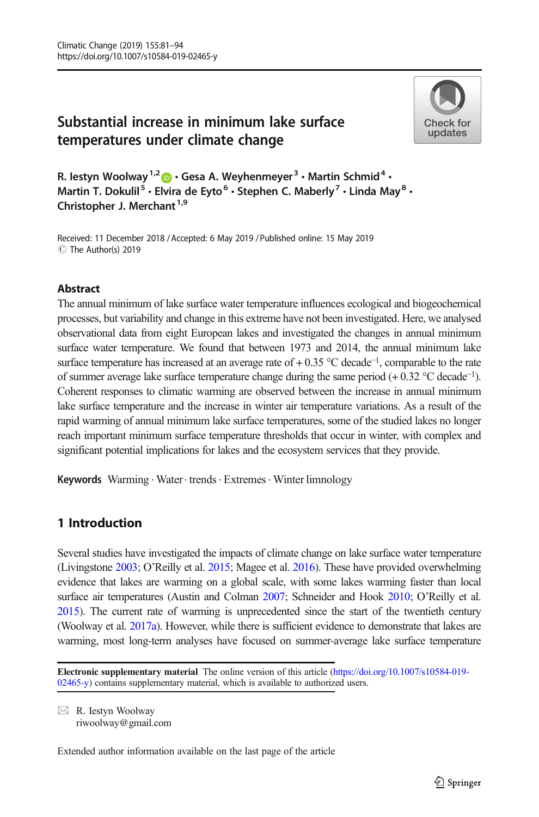# Substantial increase in minimum lake surface temperatures under climate change



R. Iestyn Woolway<sup>1,2</sup>  $\cdot$  Gesa A. Weyhenmeyer<sup>3</sup>  $\cdot$  Martin Schmid<sup>4</sup>  $\cdot$ Martin T. Dokulil<sup>5</sup>  $\cdot$  Elvira de Eyto<sup>6</sup>  $\cdot$  Stephen C. Maberly<sup>7</sup>  $\cdot$  Linda May<sup>8</sup>  $\cdot$ Christopher J. Merchant<sup>1,9</sup>

Received: 11 December 2018 / Accepted: 6 May 2019 /Published online: 15 May 2019 C The Author(s) 2019

### Abstract

The annual minimum of lake surface water temperature influences ecological and biogeochemical processes, but variability and change in this extreme have not been investigated. Here, we analysed observational data from eight European lakes and investigated the changes in annual minimum surface water temperature. We found that between 1973 and 2014, the annual minimum lake surface temperature has increased at an average rate of + 0.35 °C decade<sup>-1</sup>, comparable to the rate of summer average lake surface temperature change during the same period (+ 0.32 °C decade<sup>−</sup>1). Coherent responses to climatic warming are observed between the increase in annual minimum lake surface temperature and the increase in winter air temperature variations. As a result of the rapid warming of annual minimum lake surface temperatures, some of the studied lakes no longer reach important minimum surface temperature thresholds that occur in winter, with complex and significant potential implications for lakes and the ecosystem services that they provide.

Keywords Warming · Water · trends · Extremes · Winter limnology

# 1 Introduction

Several studies have investigated the impacts of climate change on lake surface water temperature (Livingstone [2003](#page-12-0); O'Reilly et al. [2015;](#page-12-0) Magee et al. [2016\)](#page-12-0). These have provided overwhelming evidence that lakes are warming on a global scale, with some lakes warming faster than local surface air temperatures (Austin and Colman [2007](#page-11-0); Schneider and Hook [2010](#page-12-0); O'Reilly et al. [2015\)](#page-12-0). The current rate of warming is unprecedented since the start of the twentieth century (Woolway et al. [2017a\)](#page-13-0). However, while there is sufficient evidence to demonstrate that lakes are warming, most long-term analyses have focused on summer-average lake surface temperature

Electronic supplementary material The online version of this article ([https://doi.org/10.1007/s10584-019-](https://doi.org/10.1007/s10584-019-02465-y) [02465-y\)](https://doi.org/10.1007/s10584-019-02465-y) contains supplementary material, which is available to authorized users.

 $\boxtimes$  R. Iestyn Woolway [riwoolway@gmail.com](mailto:riwoolway@gmail.com)

Extended author information available on the last page of the article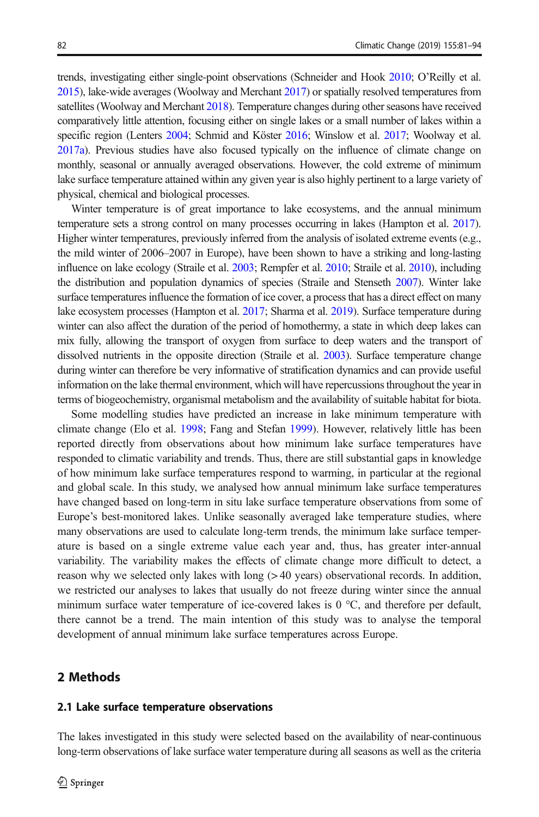trends, investigating either single-point observations (Schneider and Hook [2010](#page-12-0); O'Reilly et al. [2015\)](#page-12-0), lake-wide averages (Woolway and Merchant [2017\)](#page-13-0) or spatially resolved temperatures from satellites (Woolway and Merchant [2018](#page-13-0)). Temperature changes during other seasons have received comparatively little attention, focusing either on single lakes or a small number of lakes within a specific region (Lenters [2004](#page-12-0); Schmid and Köster [2016;](#page-12-0) Winslow et al. [2017](#page-13-0); Woolway et al. [2017a\)](#page-13-0). Previous studies have also focused typically on the influence of climate change on monthly, seasonal or annually averaged observations. However, the cold extreme of minimum lake surface temperature attained within any given year is also highly pertinent to a large variety of physical, chemical and biological processes.

Winter temperature is of great importance to lake ecosystems, and the annual minimum temperature sets a strong control on many processes occurring in lakes (Hampton et al. [2017](#page-12-0)). Higher winter temperatures, previously inferred from the analysis of isolated extreme events (e.g., the mild winter of 2006–2007 in Europe), have been shown to have a striking and long-lasting influence on lake ecology (Straile et al. [2003](#page-13-0); Rempfer et al. [2010;](#page-12-0) Straile et al. [2010](#page-13-0)), including the distribution and population dynamics of species (Straile and Stenseth [2007\)](#page-13-0). Winter lake surface temperatures influence the formation of ice cover, a process that has a direct effect on many lake ecosystem processes (Hampton et al. [2017;](#page-12-0) Sharma et al. [2019\)](#page-12-0). Surface temperature during winter can also affect the duration of the period of homothermy, a state in which deep lakes can mix fully, allowing the transport of oxygen from surface to deep waters and the transport of dissolved nutrients in the opposite direction (Straile et al. [2003\)](#page-13-0). Surface temperature change during winter can therefore be very informative of stratification dynamics and can provide useful information on the lake thermal environment, which will have repercussions throughout the year in terms of biogeochemistry, organismal metabolism and the availability of suitable habitat for biota.

Some modelling studies have predicted an increase in lake minimum temperature with climate change (Elo et al. [1998;](#page-11-0) Fang and Stefan [1999\)](#page-12-0). However, relatively little has been reported directly from observations about how minimum lake surface temperatures have responded to climatic variability and trends. Thus, there are still substantial gaps in knowledge of how minimum lake surface temperatures respond to warming, in particular at the regional and global scale. In this study, we analysed how annual minimum lake surface temperatures have changed based on long-term in situ lake surface temperature observations from some of Europe's best-monitored lakes. Unlike seasonally averaged lake temperature studies, where many observations are used to calculate long-term trends, the minimum lake surface temperature is based on a single extreme value each year and, thus, has greater inter-annual variability. The variability makes the effects of climate change more difficult to detect, a reason why we selected only lakes with long (> 40 years) observational records. In addition, we restricted our analyses to lakes that usually do not freeze during winter since the annual minimum surface water temperature of ice-covered lakes is  $0^{\circ}$ C, and therefore per default, there cannot be a trend. The main intention of this study was to analyse the temporal development of annual minimum lake surface temperatures across Europe.

### 2 Methods

#### 2.1 Lake surface temperature observations

The lakes investigated in this study were selected based on the availability of near-continuous long-term observations of lake surface water temperature during all seasons as well as the criteria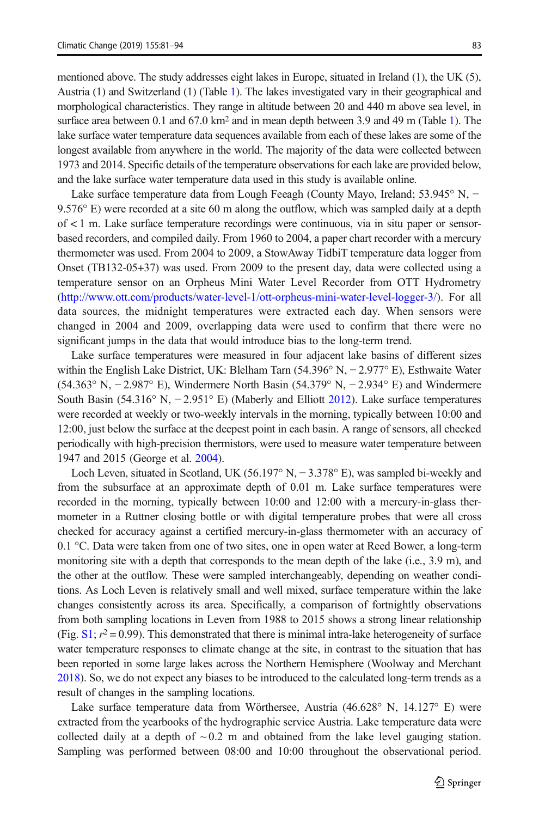mentioned above. The study addresses eight lakes in Europe, situated in Ireland (1), the UK (5), Austria (1) and Switzerland (1) (Table [1](#page-3-0)). The lakes investigated vary in their geographical and morphological characteristics. They range in altitude between 20 and 440 m above sea level, in surface area between 0.1 and  $67.0 \text{ km}^2$  and in mean depth between 3.9 and 49 m (Table [1\)](#page-3-0). The lake surface water temperature data sequences available from each of these lakes are some of the longest available from anywhere in the world. The majority of the data were collected between 1973 and 2014. Specific details of the temperature observations for each lake are provided below, and the lake surface water temperature data used in this study is available online.

Lake surface temperature data from Lough Feeagh (County Mayo, Ireland; 53.945° N, − 9.576° E) were recorded at a site 60 m along the outflow, which was sampled daily at a depth of < 1 m. Lake surface temperature recordings were continuous, via in situ paper or sensorbased recorders, and compiled daily. From 1960 to 2004, a paper chart recorder with a mercury thermometer was used. From 2004 to 2009, a StowAway TidbiT temperature data logger from Onset (TB132-05+37) was used. From 2009 to the present day, data were collected using a temperature sensor on an Orpheus Mini Water Level Recorder from OTT Hydrometry (<http://www.ott.com/products/water-level-1/ott-orpheus-mini-water-level-logger-3/>). For all data sources, the midnight temperatures were extracted each day. When sensors were changed in 2004 and 2009, overlapping data were used to confirm that there were no significant jumps in the data that would introduce bias to the long-term trend.

Lake surface temperatures were measured in four adjacent lake basins of different sizes within the English Lake District, UK: Blelham Tarn (54.396° N, − 2.977° E), Esthwaite Water (54.363° N, − 2.987° E), Windermere North Basin (54.379° N, − 2.934° E) and Windermere South Basin (54.316° N, − 2.951° E) (Maberly and Elliott [2012](#page-12-0)). Lake surface temperatures were recorded at weekly or two-weekly intervals in the morning, typically between 10:00 and 12:00, just below the surface at the deepest point in each basin. A range of sensors, all checked periodically with high-precision thermistors, were used to measure water temperature between 1947 and 2015 (George et al. [2004\)](#page-12-0).

Loch Leven, situated in Scotland, UK (56.197° N, − 3.378° E), was sampled bi-weekly and from the subsurface at an approximate depth of 0.01 m. Lake surface temperatures were recorded in the morning, typically between 10:00 and 12:00 with a mercury-in-glass thermometer in a Ruttner closing bottle or with digital temperature probes that were all cross checked for accuracy against a certified mercury-in-glass thermometer with an accuracy of 0.1 °C. Data were taken from one of two sites, one in open water at Reed Bower, a long-term monitoring site with a depth that corresponds to the mean depth of the lake (i.e., 3.9 m), and the other at the outflow. These were sampled interchangeably, depending on weather conditions. As Loch Leven is relatively small and well mixed, surface temperature within the lake changes consistently across its area. Specifically, a comparison of fortnightly observations from both sampling locations in Leven from 1988 to 2015 shows a strong linear relationship (Fig.  $S1$ ;  $r^2 = 0.99$ ). This demonstrated that there is minimal intra-lake heterogeneity of surface water temperature responses to climate change at the site, in contrast to the situation that has been reported in some large lakes across the Northern Hemisphere (Woolway and Merchant [2018](#page-13-0)). So, we do not expect any biases to be introduced to the calculated long-term trends as a result of changes in the sampling locations.

Lake surface temperature data from Wörthersee, Austria (46.628° N, 14.127° E) were extracted from the yearbooks of the hydrographic service Austria. Lake temperature data were collected daily at a depth of  $\sim$  0.2 m and obtained from the lake level gauging station. Sampling was performed between 08:00 and 10:00 throughout the observational period.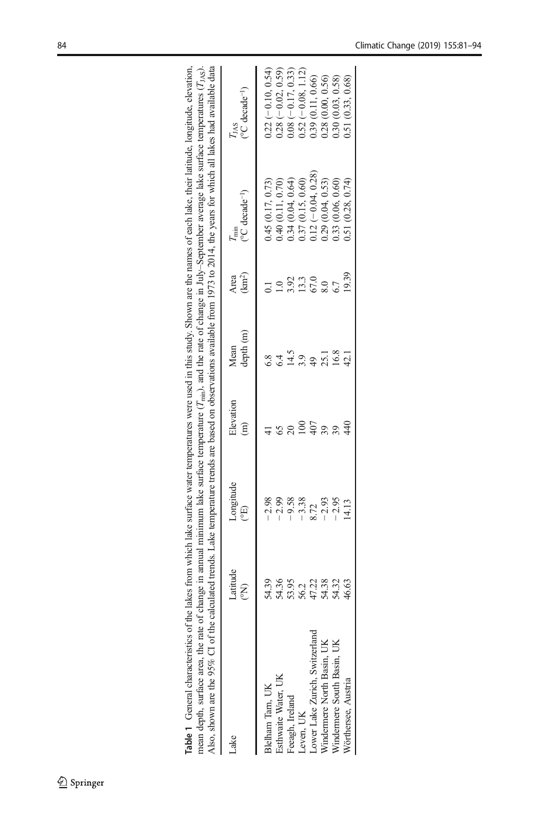<span id="page-3-0"></span>

| nean depth, surface area, the rate of change in annual minimum lake surface temperature ( $T_{\text{min}}$ ), and the rate of change in July-September average lake surface temperatures ( $T_{\text{16},\text{S}}$ ).<br>Also, shown are the 95% CI of the calculated trends. Lake temperature trends are based on observations available from 1973 to 2014, the years for which all lakes had available data<br>Table 1 General characteristics of the |                                                    |                                                                        |                            |                                                                      |                             | lakes from which lake surface water temperatures were used in this study. Shown are the names of each lake, their latitude, longitude, elevation, |                                                                                                                                                        |
|----------------------------------------------------------------------------------------------------------------------------------------------------------------------------------------------------------------------------------------------------------------------------------------------------------------------------------------------------------------------------------------------------------------------------------------------------------|----------------------------------------------------|------------------------------------------------------------------------|----------------------------|----------------------------------------------------------------------|-----------------------------|---------------------------------------------------------------------------------------------------------------------------------------------------|--------------------------------------------------------------------------------------------------------------------------------------------------------|
| ake                                                                                                                                                                                                                                                                                                                                                                                                                                                      | Latitude<br>E                                      | Longitude<br>$\widetilde{\Xi}$                                         | Elevation<br>$\widehat{E}$ | depth (m)<br>Mean                                                    | (km <sup>2</sup> )<br>Area  | $(°C$ decade <sup>-1</sup> )<br>$T_{\min}$                                                                                                        | $C$ decade <sup>-1</sup> )<br>TJAS                                                                                                                     |
| Lower Lake Zurich, Switzerland<br>Windermere North Basin, UK<br>Windermere South Basin, UK<br>Esthwaite Water, UK<br>Blelham Tam, UK<br><b>eeagh</b> , Ireland<br>Leven, UK                                                                                                                                                                                                                                                                              | 54.39<br>54.36<br>53.95<br>55.27<br>54.38<br>54.35 | $-2.98$<br>$-2.99$<br>$-9.58$<br>$-3.38$<br>$-2.93$<br>$-2.95$<br>8.72 | $\widetilde{\circ}$        | 14.5<br>16.8<br>25.1<br>$\frac{8}{6}$<br>3.9<br>6.4<br>$\frac{1}{2}$ | 13.3<br>3.92<br>67.0<br>8.0 | $0.12(-0.04, 0.28)$<br>0.34(0.04, 0.64)<br>0.37(0.15, 0.60)<br>0.29(0.04, 0.53)<br>0.40(0.11, 0.70)<br>0.45 (0.17, 0.73)<br>0.33 (0.06, 0.60)     | $0.22(-0.10, 0.54)$<br>$0.08 (-0.17, 0.33)$<br>$0.28(-0.02, 0.59)$<br>$0.52(-0.08, 1.12)$<br>0.39(0.11, 0.66)<br>0.28 (0.00, 0.56)<br>0.30(0.03, 0.58) |
| Vörthersee, Austria                                                                                                                                                                                                                                                                                                                                                                                                                                      | 46.63                                              | .4.13                                                                  |                            | 42.1                                                                 | 19.39                       | 0.51(0.28, 0.74)                                                                                                                                  | 0.51 (0.33, 0.68)                                                                                                                                      |

| SO. SI |                                                                                                                                                                                                                                                                                                                                                                                          |
|--------|------------------------------------------------------------------------------------------------------------------------------------------------------------------------------------------------------------------------------------------------------------------------------------------------------------------------------------------------------------------------------------------|
|        | calculated trends. Lake temperature trends are based on observations available from 1973 to 2014, the years for which all lakes had available data<br>of change in annual minimum lake surface temperature $(T_{min})$ , and the rate of change in July-September average lake surface temperatures $(T_{min})$ .<br>hown are the $95\%$ CI of the<br>rean depth, surface area, the rate |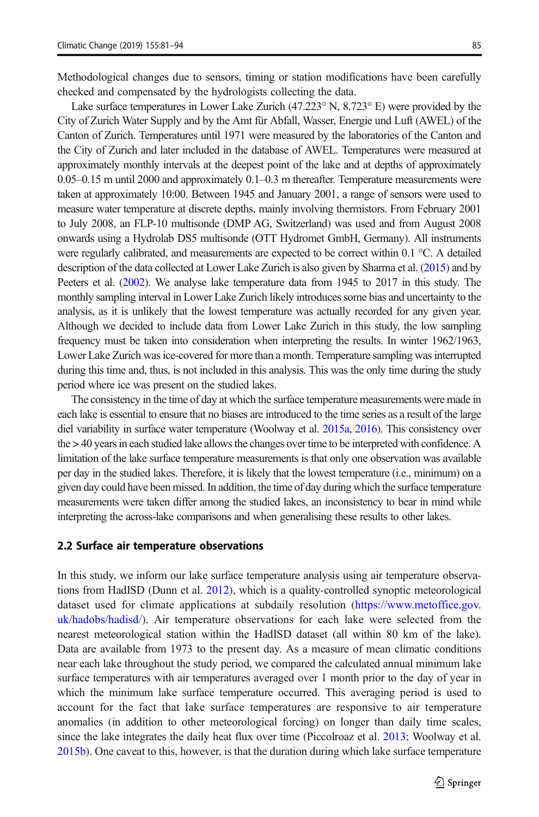Methodological changes due to sensors, timing or station modifications have been carefully checked and compensated by the hydrologists collecting the data.

Lake surface temperatures in Lower Lake Zurich (47.223° N, 8.723° E) were provided by the City of Zurich Water Supply and by the Amt für Abfall, Wasser, Energie und Luft (AWEL) of the Canton of Zurich. Temperatures until 1971 were measured by the laboratories of the Canton and the City of Zurich and later included in the database of AWEL. Temperatures were measured at approximately monthly intervals at the deepest point of the lake and at depths of approximately 0.05–0.15 m until 2000 and approximately 0.1–0.3 m thereafter. Temperature measurements were taken at approximately 10:00. Between 1945 and January 2001, a range of sensors were used to measure water temperature at discrete depths, mainly involving thermistors. From February 2001 to July 2008, an FLP-10 multisonde (DMP AG, Switzerland) was used and from August 2008 onwards using a Hydrolab DS5 multisonde (OTT Hydromet GmbH, Germany). All instruments were regularly calibrated, and measurements are expected to be correct within 0.1 °C. A detailed description of the data collected at Lower Lake Zurich is also given by Sharma et al. ([2015\)](#page-12-0) and by Peeters et al. [\(2002\)](#page-12-0). We analyse lake temperature data from 1945 to 2017 in this study. The monthly sampling interval in Lower Lake Zurich likely introduces some bias and uncertainty to the analysis, as it is unlikely that the lowest temperature was actually recorded for any given year. Although we decided to include data from Lower Lake Zurich in this study, the low sampling frequency must be taken into consideration when interpreting the results. In winter 1962/1963, Lower Lake Zurich was ice-covered for more than a month. Temperature sampling was interrupted during this time and, thus, is not included in this analysis. This was the only time during the study period where ice was present on the studied lakes.

The consistency in the time of day at which the surface temperature measurements were made in each lake is essential to ensure that no biases are introduced to the time series as a result of the large diel variability in surface water temperature (Woolway et al. [2015a,](#page-13-0) [2016](#page-13-0)). This consistency over the > 40 years in each studied lake allows the changes over time to be interpreted with confidence. A limitation of the lake surface temperature measurements is that only one observation was available per day in the studied lakes. Therefore, it is likely that the lowest temperature (i.e., minimum) on a given day could have been missed. In addition, the time of day during which the surface temperature measurements were taken differ among the studied lakes, an inconsistency to bear in mind while interpreting the across-lake comparisons and when generalising these results to other lakes.

#### 2.2 Surface air temperature observations

In this study, we inform our lake surface temperature analysis using air temperature observations from HadISD (Dunn et al. [2012\)](#page-11-0), which is a quality-controlled synoptic meteorological dataset used for climate applications at subdaily resolution ([https://www.metoffice.gov.](https://www.metoffice.gov.uk/hadobs/hadisd/) [uk/hadobs/hadisd/\)](https://www.metoffice.gov.uk/hadobs/hadisd/). Air temperature observations for each lake were selected from the nearest meteorological station within the HadISD dataset (all within 80 km of the lake). Data are available from 1973 to the present day. As a measure of mean climatic conditions near each lake throughout the study period, we compared the calculated annual minimum lake surface temperatures with air temperatures averaged over 1 month prior to the day of year in which the minimum lake surface temperature occurred. This averaging period is used to account for the fact that lake surface temperatures are responsive to air temperature anomalies (in addition to other meteorological forcing) on longer than daily time scales, since the lake integrates the daily heat flux over time (Piccolroaz et al. [2013](#page-12-0); Woolway et al. [2015b\)](#page-13-0). One caveat to this, however, is that the duration during which lake surface temperature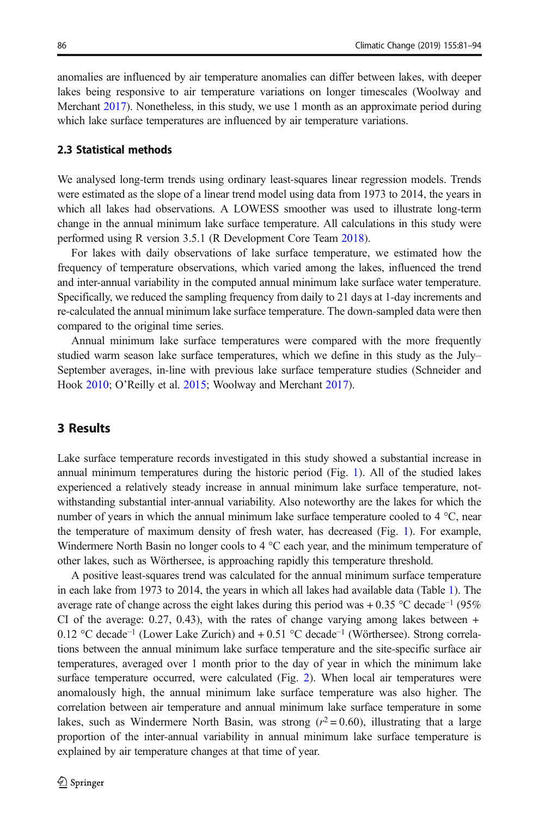anomalies are influenced by air temperature anomalies can differ between lakes, with deeper lakes being responsive to air temperature variations on longer timescales (Woolway and Merchant [2017](#page-13-0)). Nonetheless, in this study, we use 1 month as an approximate period during which lake surface temperatures are influenced by air temperature variations.

#### 2.3 Statistical methods

We analysed long-term trends using ordinary least-squares linear regression models. Trends were estimated as the slope of a linear trend model using data from 1973 to 2014, the years in which all lakes had observations. A LOWESS smoother was used to illustrate long-term change in the annual minimum lake surface temperature. All calculations in this study were performed using R version 3.5.1 (R Development Core Team [2018](#page-12-0)).

For lakes with daily observations of lake surface temperature, we estimated how the frequency of temperature observations, which varied among the lakes, influenced the trend and inter-annual variability in the computed annual minimum lake surface water temperature. Specifically, we reduced the sampling frequency from daily to 21 days at 1-day increments and re-calculated the annual minimum lake surface temperature. The down-sampled data were then compared to the original time series.

Annual minimum lake surface temperatures were compared with the more frequently studied warm season lake surface temperatures, which we define in this study as the July– September averages, in-line with previous lake surface temperature studies (Schneider and Hook [2010;](#page-12-0) O'Reilly et al. [2015](#page-12-0); Woolway and Merchant [2017](#page-13-0)).

#### 3 Results

Lake surface temperature records investigated in this study showed a substantial increase in annual minimum temperatures during the historic period (Fig. [1\)](#page-6-0). All of the studied lakes experienced a relatively steady increase in annual minimum lake surface temperature, notwithstanding substantial inter-annual variability. Also noteworthy are the lakes for which the number of years in which the annual minimum lake surface temperature cooled to 4 °C, near the temperature of maximum density of fresh water, has decreased (Fig. [1](#page-6-0)). For example, Windermere North Basin no longer cools to 4 °C each year, and the minimum temperature of other lakes, such as Wörthersee, is approaching rapidly this temperature threshold.

A positive least-squares trend was calculated for the annual minimum surface temperature in each lake from 1973 to 2014, the years in which all lakes had available data (Table [1](#page-3-0)). The average rate of change across the eight lakes during this period was + 0.35 °C decade<sup>-1</sup> (95% CI of the average: 0.27, 0.43), with the rates of change varying among lakes between + 0.12 °C decade<sup>−</sup><sup>1</sup> (Lower Lake Zurich) and + 0.51 °C decade<sup>−</sup><sup>1</sup> (Wörthersee). Strong correlations between the annual minimum lake surface temperature and the site-specific surface air temperatures, averaged over 1 month prior to the day of year in which the minimum lake surface temperature occurred, were calculated (Fig. [2](#page-7-0)). When local air temperatures were anomalously high, the annual minimum lake surface temperature was also higher. The correlation between air temperature and annual minimum lake surface temperature in some lakes, such as Windermere North Basin, was strong  $(r^2 = 0.60)$ , illustrating that a large proportion of the inter-annual variability in annual minimum lake surface temperature is explained by air temperature changes at that time of year.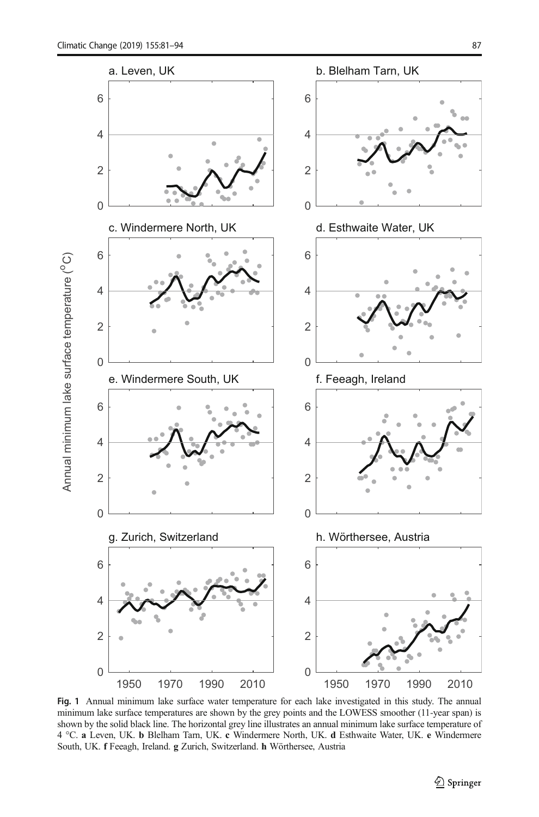<span id="page-6-0"></span>

Fig. 1 Annual minimum lake surface water temperature for each lake investigated in this study. The annual minimum lake surface temperatures are shown by the grey points and the LOWESS smoother (11-year span) is shown by the solid black line. The horizontal grey line illustrates an annual minimum lake surface temperature of 4 °C. a Leven, UK. b Blelham Tarn, UK. c Windermere North, UK. d Esthwaite Water, UK. e Windermere South, UK. f Feeagh, Ireland. g Zurich, Switzerland. h Wörthersee, Austria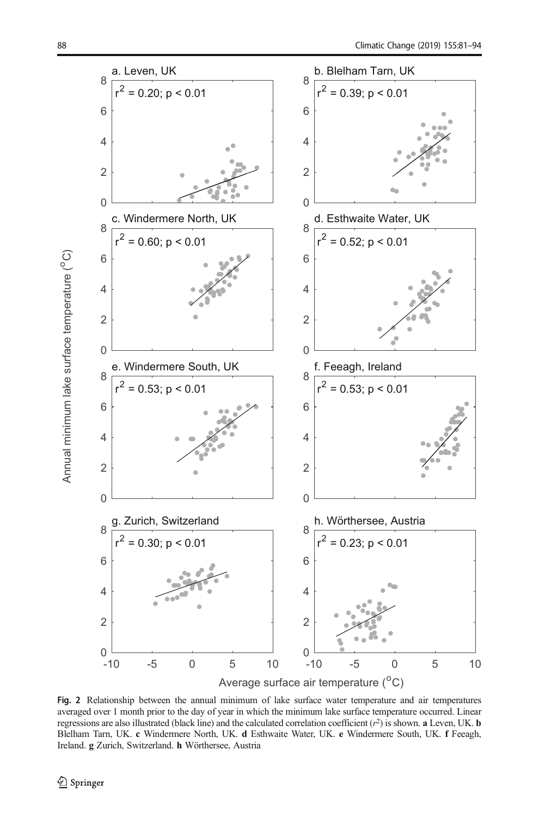Annual minimum lake surface temperature (<sup>°</sup>C) Annual minimum lake surface temperature  $(^0C)$ 

<span id="page-7-0"></span>

Fig. 2 Relationship between the annual minimum of lake surface water temperature and air temperatures averaged over 1 month prior to the day of year in which the minimum lake surface temperature occurred. Linear regressions are also illustrated (black line) and the calculated correlation coefficient  $(r^2)$  is shown. **a** Leven, UK. **b** Blelham Tarn, UK. c Windermere North, UK. d Esthwaite Water, UK. e Windermere South, UK. f Feeagh, Ireland. g Zurich, Switzerland. h Wörthersee, Austria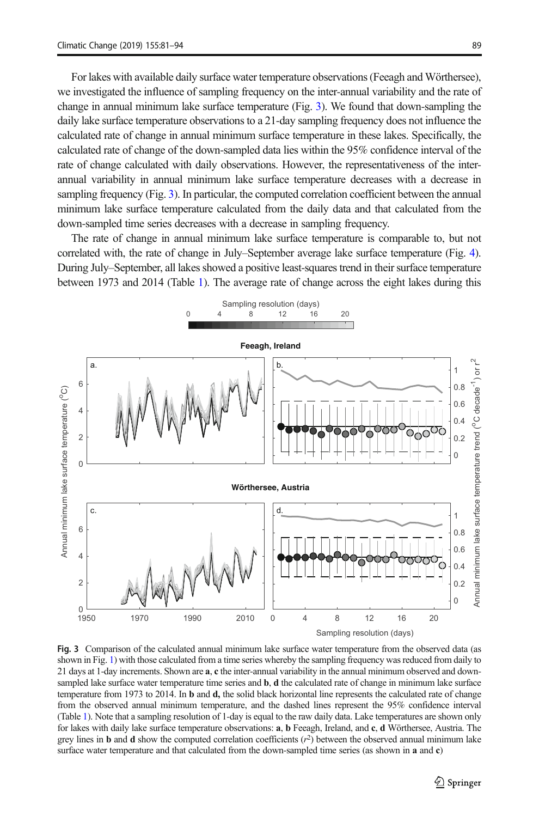For lakes with available daily surface water temperature observations(Feeagh and Wörthersee), we investigated the influence of sampling frequency on the inter-annual variability and the rate of change in annual minimum lake surface temperature (Fig. 3). We found that down-sampling the daily lake surface temperature observations to a 21-day sampling frequency does not influence the calculated rate of change in annual minimum surface temperature in these lakes. Specifically, the calculated rate of change of the down-sampled data lies within the 95% confidence interval of the rate of change calculated with daily observations. However, the representativeness of the interannual variability in annual minimum lake surface temperature decreases with a decrease in sampling frequency (Fig. 3). In particular, the computed correlation coefficient between the annual minimum lake surface temperature calculated from the daily data and that calculated from the down-sampled time series decreases with a decrease in sampling frequency.

The rate of change in annual minimum lake surface temperature is comparable to, but not correlated with, the rate of change in July–September average lake surface temperature (Fig. [4](#page-9-0)). During July–September, all lakes showed a positive least-squares trend in their surface temperature between 1973 and 2014 (Table [1\)](#page-3-0). The average rate of change across the eight lakes during this



Fig. 3 Comparison of the calculated annual minimum lake surface water temperature from the observed data (as shown in Fig. [1\)](#page-6-0) with those calculated from a time series whereby the sampling frequency was reduced from daily to 21 days at 1-day increments. Shown are **a**, c the inter-annual variability in the annual minimum observed and downsampled lake surface water temperature time series and **b**, **d** the calculated rate of change in minimum lake surface temperature from 1973 to 2014. In **b** and **d**, the solid black horizontal line represents the calculated rate of change from the observed annual minimum temperature, and the dashed lines represent the 95% confidence interval (Table [1](#page-3-0)). Note that a sampling resolution of 1-day is equal to the raw daily data. Lake temperatures are shown only for lakes with daily lake surface temperature observations: a, b Feeagh, Ireland, and c, d Wörthersee, Austria. The grey lines in **b** and **d** show the computed correlation coefficients  $(r^2)$  between the observed annual minimum lake surface water temperature and that calculated from the down-sampled time series (as shown in **a** and **c**)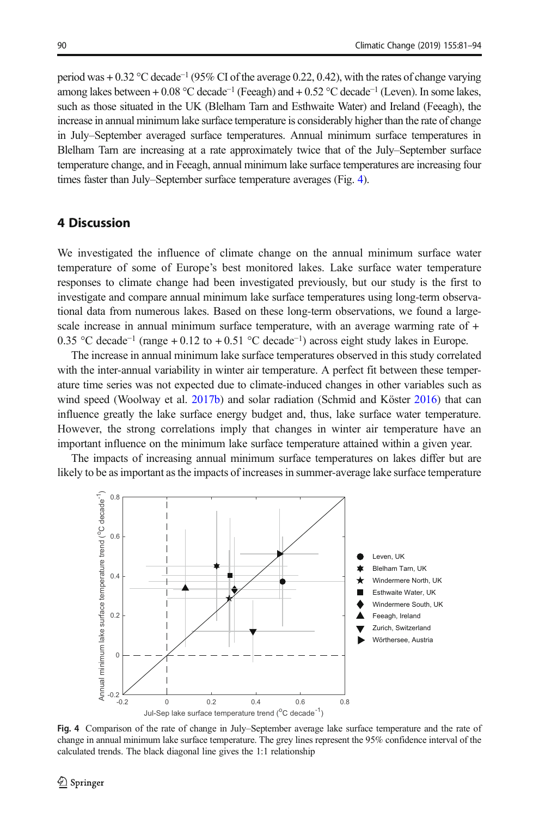<span id="page-9-0"></span>period was + 0.32 °C decade<sup>-1</sup> (95% CI of the average 0.22, 0.42), with the rates of change varying among lakes between + 0.08 °C decade<sup>-1</sup> (Feeagh) and + 0.52 °C decade<sup>-1</sup> (Leven). In some lakes, such as those situated in the UK (Blelham Tarn and Esthwaite Water) and Ireland (Feeagh), the increase in annual minimum lake surface temperature is considerably higher than the rate of change in July–September averaged surface temperatures. Annual minimum surface temperatures in Blelham Tarn are increasing at a rate approximately twice that of the July–September surface temperature change, and in Feeagh, annual minimum lake surface temperatures are increasing four times faster than July–September surface temperature averages (Fig. 4).

### 4 Discussion

We investigated the influence of climate change on the annual minimum surface water temperature of some of Europe's best monitored lakes. Lake surface water temperature responses to climate change had been investigated previously, but our study is the first to investigate and compare annual minimum lake surface temperatures using long-term observational data from numerous lakes. Based on these long-term observations, we found a largescale increase in annual minimum surface temperature, with an average warming rate of + 0.35 °C decade<sup>−</sup><sup>1</sup> (range + 0.12 to + 0.51 °C decade<sup>−</sup>1) across eight study lakes in Europe.

The increase in annual minimum lake surface temperatures observed in this study correlated with the inter-annual variability in winter air temperature. A perfect fit between these temperature time series was not expected due to climate-induced changes in other variables such as wind speed (Woolway et al. [2017b](#page-13-0)) and solar radiation (Schmid and Köster [2016](#page-12-0)) that can influence greatly the lake surface energy budget and, thus, lake surface water temperature. However, the strong correlations imply that changes in winter air temperature have an important influence on the minimum lake surface temperature attained within a given year.

The impacts of increasing annual minimum surface temperatures on lakes differ but are likely to be as important as the impacts of increases in summer-average lake surface temperature



Fig. 4 Comparison of the rate of change in July–September average lake surface temperature and the rate of change in annual minimum lake surface temperature. The grey lines represent the 95% confidence interval of the calculated trends. The black diagonal line gives the 1:1 relationship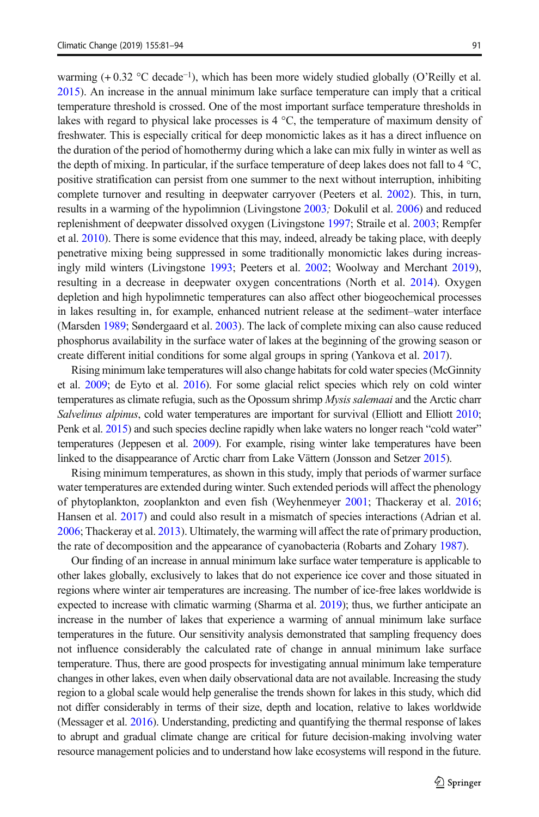warming (+0.32 °C decade<sup>-1</sup>), which has been more widely studied globally (O'Reilly et al. [2015](#page-12-0)). An increase in the annual minimum lake surface temperature can imply that a critical temperature threshold is crossed. One of the most important surface temperature thresholds in lakes with regard to physical lake processes is 4 °C, the temperature of maximum density of freshwater. This is especially critical for deep monomictic lakes as it has a direct influence on the duration of the period of homothermy during which a lake can mix fully in winter as well as the depth of mixing. In particular, if the surface temperature of deep lakes does not fall to  $4^{\circ}$ C, positive stratification can persist from one summer to the next without interruption, inhibiting complete turnover and resulting in deepwater carryover (Peeters et al. [2002](#page-12-0)). This, in turn, results in a warming of the hypolimnion (Livingstone [2003](#page-12-0); Dokulil et al. [2006\)](#page-11-0) and reduced replenishment of deepwater dissolved oxygen (Livingstone [1997;](#page-12-0) Straile et al. [2003;](#page-13-0) Rempfer et al. [2010](#page-12-0)). There is some evidence that this may, indeed, already be taking place, with deeply penetrative mixing being suppressed in some traditionally monomictic lakes during increasingly mild winters (Livingstone [1993;](#page-12-0) Peeters et al. [2002](#page-12-0); Woolway and Merchant [2019](#page-13-0)), resulting in a decrease in deepwater oxygen concentrations (North et al. [2014](#page-12-0)). Oxygen depletion and high hypolimnetic temperatures can also affect other biogeochemical processes in lakes resulting in, for example, enhanced nutrient release at the sediment–water interface (Marsden [1989;](#page-12-0) Søndergaard et al. [2003](#page-12-0)). The lack of complete mixing can also cause reduced phosphorus availability in the surface water of lakes at the beginning of the growing season or create different initial conditions for some algal groups in spring (Yankova et al. [2017](#page-13-0)).

Rising minimum lake temperatures will also change habitats for cold water species (McGinnity et al. [2009](#page-12-0); de Eyto et al. [2016\)](#page-11-0). For some glacial relict species which rely on cold winter temperatures as climate refugia, such as the Opossum shrimp Mysis salemaai and the Arctic charr Salvelinus alpinus, cold water temperatures are important for survival (Elliott and Elliott [2010](#page-11-0); Penk et al. [2015](#page-12-0)) and such species decline rapidly when lake waters no longer reach "cold water" temperatures (Jeppesen et al. [2009](#page-12-0)). For example, rising winter lake temperatures have been linked to the disappearance of Arctic charr from Lake Vättern (Jonsson and Setzer [2015\)](#page-12-0).

Rising minimum temperatures, as shown in this study, imply that periods of warmer surface water temperatures are extended during winter. Such extended periods will affect the phenology of phytoplankton, zooplankton and even fish (Weyhenmeyer [2001](#page-13-0); Thackeray et al. [2016](#page-13-0); Hansen et al. [2017\)](#page-12-0) and could also result in a mismatch of species interactions (Adrian et al. [2006](#page-11-0); Thackeray et al. [2013](#page-13-0)). Ultimately, the warming will affect the rate of primary production, the rate of decomposition and the appearance of cyanobacteria (Robarts and Zohary [1987](#page-12-0)).

Our finding of an increase in annual minimum lake surface water temperature is applicable to other lakes globally, exclusively to lakes that do not experience ice cover and those situated in regions where winter air temperatures are increasing. The number of ice-free lakes worldwide is expected to increase with climatic warming (Sharma et al. [2019\)](#page-12-0); thus, we further anticipate an increase in the number of lakes that experience a warming of annual minimum lake surface temperatures in the future. Our sensitivity analysis demonstrated that sampling frequency does not influence considerably the calculated rate of change in annual minimum lake surface temperature. Thus, there are good prospects for investigating annual minimum lake temperature changes in other lakes, even when daily observational data are not available. Increasing the study region to a global scale would help generalise the trends shown for lakes in this study, which did not differ considerably in terms of their size, depth and location, relative to lakes worldwide (Messager et al. [2016](#page-12-0)). Understanding, predicting and quantifying the thermal response of lakes to abrupt and gradual climate change are critical for future decision-making involving water resource management policies and to understand how lake ecosystems will respond in the future.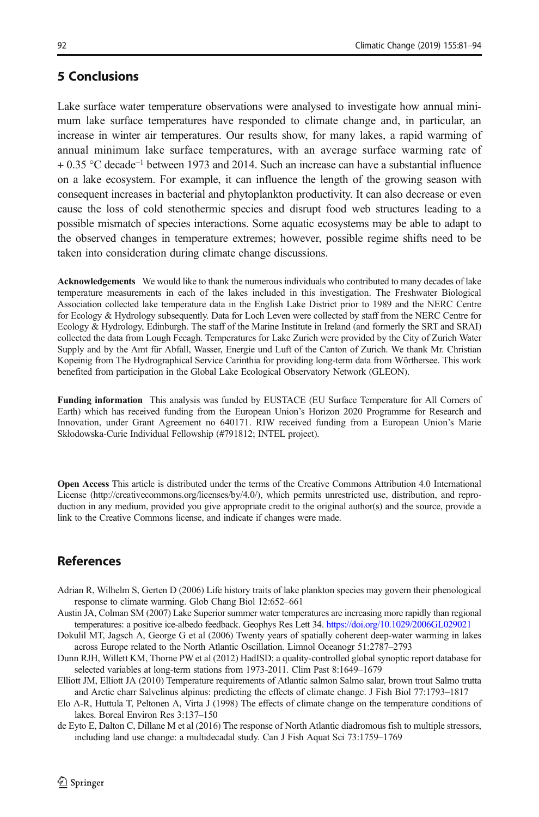### <span id="page-11-0"></span>5 Conclusions

Lake surface water temperature observations were analysed to investigate how annual minimum lake surface temperatures have responded to climate change and, in particular, an increase in winter air temperatures. Our results show, for many lakes, a rapid warming of annual minimum lake surface temperatures, with an average surface warming rate of + 0.35 °C decade<sup>−</sup><sup>1</sup> between 1973 and 2014. Such an increase can have a substantial influence on a lake ecosystem. For example, it can influence the length of the growing season with consequent increases in bacterial and phytoplankton productivity. It can also decrease or even cause the loss of cold stenothermic species and disrupt food web structures leading to a possible mismatch of species interactions. Some aquatic ecosystems may be able to adapt to the observed changes in temperature extremes; however, possible regime shifts need to be taken into consideration during climate change discussions.

Acknowledgements We would like to thank the numerous individuals who contributed to many decades of lake temperature measurements in each of the lakes included in this investigation. The Freshwater Biological Association collected lake temperature data in the English Lake District prior to 1989 and the NERC Centre for Ecology & Hydrology subsequently. Data for Loch Leven were collected by staff from the NERC Centre for Ecology & Hydrology, Edinburgh. The staff of the Marine Institute in Ireland (and formerly the SRT and SRAI) collected the data from Lough Feeagh. Temperatures for Lake Zurich were provided by the City of Zurich Water Supply and by the Amt für Abfall, Wasser, Energie und Luft of the Canton of Zurich. We thank Mr. Christian Kopeinig from The Hydrographical Service Carinthia for providing long-term data from Wörthersee. This work benefited from participation in the Global Lake Ecological Observatory Network (GLEON).

Funding information This analysis was funded by EUSTACE (EU Surface Temperature for All Corners of Earth) which has received funding from the European Union's Horizon 2020 Programme for Research and Innovation, under Grant Agreement no 640171. RIW received funding from a European Union's Marie Skłodowska-Curie Individual Fellowship (#791812; INTEL project).

Open Access This article is distributed under the terms of the Creative Commons Attribution 4.0 International License (http://creativecommons.org/licenses/by/4.0/), which permits unrestricted use, distribution, and reproduction in any medium, provided you give appropriate credit to the original author(s) and the source, provide a link to the Creative Commons license, and indicate if changes were made.

# References

- Adrian R, Wilhelm S, Gerten D (2006) Life history traits of lake plankton species may govern their phenological response to climate warming. Glob Chang Biol 12:652–661
- Austin JA, Colman SM (2007) Lake Superior summer water temperatures are increasing more rapidly than regional temperatures: a positive ice-albedo feedback. Geophys Res Lett 34. <https://doi.org/10.1029/2006GL029021>
- Dokulil MT, Jagsch A, George G et al (2006) Twenty years of spatially coherent deep-water warming in lakes across Europe related to the North Atlantic Oscillation. Limnol Oceanogr 51:2787–2793
- Dunn RJH, Willett KM, Thorne PW et al (2012) HadISD: a quality-controlled global synoptic report database for selected variables at long-term stations from 1973-2011. Clim Past 8:1649–1679
- Elliott JM, Elliott JA (2010) Temperature requirements of Atlantic salmon Salmo salar, brown trout Salmo trutta and Arctic charr Salvelinus alpinus: predicting the effects of climate change. J Fish Biol 77:1793–1817
- Elo A-R, Huttula T, Peltonen A, Virta J (1998) The effects of climate change on the temperature conditions of lakes. Boreal Environ Res 3:137–150
- de Eyto E, Dalton C, Dillane M et al (2016) The response of North Atlantic diadromous fish to multiple stressors, including land use change: a multidecadal study. Can J Fish Aquat Sci 73:1759–1769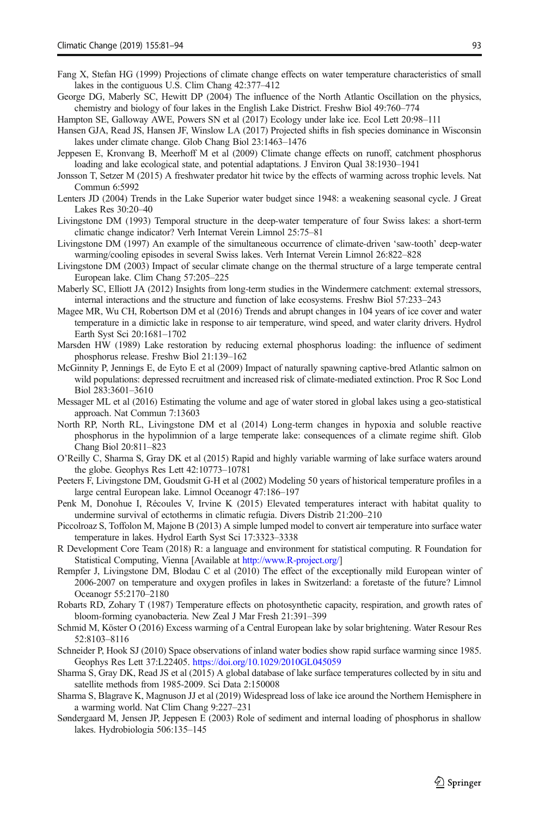- <span id="page-12-0"></span>Fang X, Stefan HG (1999) Projections of climate change effects on water temperature characteristics of small lakes in the contiguous U.S. Clim Chang 42:377–412
- George DG, Maberly SC, Hewitt DP (2004) The influence of the North Atlantic Oscillation on the physics, chemistry and biology of four lakes in the English Lake District. Freshw Biol 49:760–774
- Hampton SE, Galloway AWE, Powers SN et al (2017) Ecology under lake ice. Ecol Lett 20:98–111
- Hansen GJA, Read JS, Hansen JF, Winslow LA (2017) Projected shifts in fish species dominance in Wisconsin lakes under climate change. Glob Chang Biol 23:1463–1476
- Jeppesen E, Kronvang B, Meerhoff M et al (2009) Climate change effects on runoff, catchment phosphorus loading and lake ecological state, and potential adaptations. J Environ Qual 38:1930–1941
- Jonsson T, Setzer M (2015) A freshwater predator hit twice by the effects of warming across trophic levels. Nat Commun 6:5992
- Lenters JD (2004) Trends in the Lake Superior water budget since 1948: a weakening seasonal cycle. J Great Lakes Res 30:20–40
- Livingstone DM (1993) Temporal structure in the deep-water temperature of four Swiss lakes: a short-term climatic change indicator? Verh Internat Verein Limnol 25:75–81
- Livingstone DM (1997) An example of the simultaneous occurrence of climate-driven 'saw-tooth' deep-water warming/cooling episodes in several Swiss lakes. Verh Internat Verein Limnol 26:822–828
- Livingstone DM (2003) Impact of secular climate change on the thermal structure of a large temperate central European lake. Clim Chang 57:205–225
- Maberly SC, Elliott JA (2012) Insights from long-term studies in the Windermere catchment: external stressors, internal interactions and the structure and function of lake ecosystems. Freshw Biol 57:233–243
- Magee MR, Wu CH, Robertson DM et al (2016) Trends and abrupt changes in 104 years of ice cover and water temperature in a dimictic lake in response to air temperature, wind speed, and water clarity drivers. Hydrol Earth Syst Sci 20:1681–1702
- Marsden HW (1989) Lake restoration by reducing external phosphorus loading: the influence of sediment phosphorus release. Freshw Biol 21:139–162
- McGinnity P, Jennings E, de Eyto E et al (2009) Impact of naturally spawning captive-bred Atlantic salmon on wild populations: depressed recruitment and increased risk of climate-mediated extinction. Proc R Soc Lond Biol 283:3601–3610
- Messager ML et al (2016) Estimating the volume and age of water stored in global lakes using a geo-statistical approach. Nat Commun 7:13603
- North RP, North RL, Livingstone DM et al (2014) Long-term changes in hypoxia and soluble reactive phosphorus in the hypolimnion of a large temperate lake: consequences of a climate regime shift. Glob Chang Biol 20:811–823
- O'Reilly C, Sharma S, Gray DK et al (2015) Rapid and highly variable warming of lake surface waters around the globe. Geophys Res Lett 42:10773–10781
- Peeters F, Livingstone DM, Goudsmit G-H et al (2002) Modeling 50 years of historical temperature profiles in a large central European lake. Limnol Oceanogr 47:186–197
- Penk M, Donohue I, Récoules V, Irvine K (2015) Elevated temperatures interact with habitat quality to undermine survival of ectotherms in climatic refugia. Divers Distrib 21:200–210
- Piccolroaz S, Toffolon M, Majone B (2013) A simple lumped model to convert air temperature into surface water temperature in lakes. Hydrol Earth Syst Sci 17:3323–3338
- R Development Core Team (2018) R: a language and environment for statistical computing. R Foundation for Statistical Computing, Vienna [Available at [http://www.R-project.org/\]](http://www.r-project.org/)
- Rempfer J, Livingstone DM, Blodau C et al (2010) The effect of the exceptionally mild European winter of 2006-2007 on temperature and oxygen profiles in lakes in Switzerland: a foretaste of the future? Limnol Oceanogr 55:2170–2180
- Robarts RD, Zohary T (1987) Temperature effects on photosynthetic capacity, respiration, and growth rates of bloom-forming cyanobacteria. New Zeal J Mar Fresh 21:391–399
- Schmid M, Köster O (2016) Excess warming of a Central European lake by solar brightening. Water Resour Res 52:8103–8116
- Schneider P, Hook SJ (2010) Space observations of inland water bodies show rapid surface warming since 1985. Geophys Res Lett 37:L22405. <https://doi.org/10.1029/2010GL045059>
- Sharma S, Gray DK, Read JS et al (2015) A global database of lake surface temperatures collected by in situ and satellite methods from 1985-2009. Sci Data 2:150008
- Sharma S, Blagrave K, Magnuson JJ et al (2019) Widespread loss of lake ice around the Northern Hemisphere in a warming world. Nat Clim Chang 9:227–231
- Søndergaard M, Jensen JP, Jeppesen E (2003) Role of sediment and internal loading of phosphorus in shallow lakes. Hydrobiologia 506:135–145